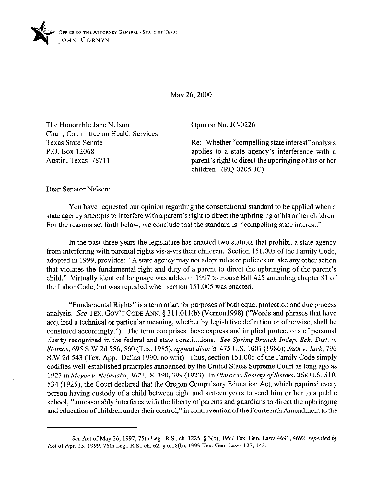

May 26, 2000

The Honorable Jane Nelson Chair, Committee on Health Services Texas State Senate P.O. Box 12068 Austin, Texas 78711

Opinion No. JC-0226

Re: Whether "compelling state interest" analysis applies to a state agency's interference with a parent's right to direct the upbringing ofhis or her children (RQ-0205.JC)

Dear Senator Nelson:

You have requested our opinion regarding the constitutional standard to be applied when a state agency attempts to interfere with a parent's right to direct the upbringing ofhis or her children. For the reasons set forth below, we conclude that the standard is "compelling state interest."

**In** the past three years the legislature has enacted two statutes that prohibit a state agency from interfering with parental rights vis-a-vis their children. Section 15 1.005 of the Family Code, adopted in 1999, provides: "A state agency may not adopt rules or policies or take any other action that violates the fundamental right and duty of a parent to direct the upbringing of the parent's child." Virtually identical language was added in 1997 to House Bill 425 amending chapter 81 of the Labor Code, but was repealed when section 151.005 was enacted.<sup>1</sup>

"Fundamental Rights" is a term of art for purposes ofboth equal protection and due process analysis. See TEX. GOV'T CODE ANN. § 311.011(b) (Vernon1998) ("Words and phrases that have acquired a technical or particular meaning, whether by legislative definition or otherwise, shall be construed accordingly."). The term comprises those express and implied protections of personal liberty recognized in the federal and state constitutions. *See Spring Branch Indep. Sch. Dist. v. Stamos, 695 S.W.2d 556, 560 (Tex. 1985), appeal dism'd, 475 U.S. 1001 (1986); Jack v. Jack, 796* S.W.2d 543 (Tex. App.-Dallas 1990, no writ). Thus, section 151.005 ofthe Family Code simply codifies well-established principles announced by the United States Supreme Court as long ago as 1923 inh4eyerv. *Nebraska, 262* U.S. *390,399* (1923). *InPierce Y. Society ofSisters, 268* U.S. 510, 534 (1925), the Court declared that the Oregon Compulsory Education Act, which required every person having custody of a child between eight and sixteen years to send him or her to a public school, "unreasonably interferes with the liberty of parents and guardians to direct the upbringing and education of children under their control," in contravention of the Fourteenth Amendment to the

<sup>&</sup>lt;sup>1</sup>See Act of May 26, 1997, 75th Leg., R.S., ch. 1225, § 3(b), 1997 Tex. Gen. Laws 4691, 4692, *repealed by* **Act of Apr. 23, 1999, 76th Leg., R.S., ch. 62, 5 6.18(h), 1999 Tex. Gen. Laws 127, 143.**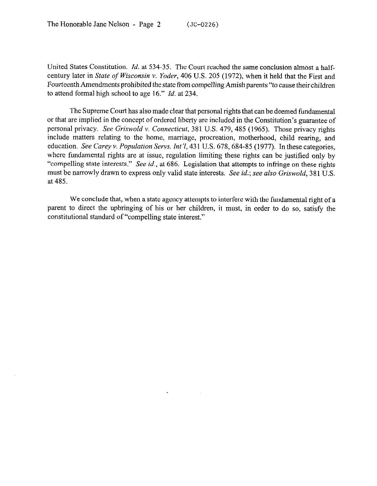United States Constitution. *Id.* at 534-35. The Court reached the same conclusion almost a halfcentury later in *State of Wisconsin v. Yoder*, 406 U.S. 205 (1972), when it held that the First and Fourteenth Amendments prohibited the state from compelling Amish parents "to cause their children to attend formal high school to age 16." *Id.* at 234.

The Supreme Court has also made clear that personal rights that can be deemed fundamental or that are implied in the concept of ordered liberty are included in the Constitution's guarantee of personal privacy. *See Griswold v. Connecticut,* 381 U.S. 479, 485 (1965). Those privacy rights include matters relating to the home, marriage, procreation, motherhood, child rearing, and education. See Carey v. Population Servs. Int'l, 431 U.S. 678, 684-85 (1977). In these categories, where fundamental rights are at issue, regulation limiting these rights can be justified only by "compelling state interests." See *id.,* at 686. Legislation that attempts to infringe on these rights must be narrowly drawn to express only valid state interests. See *id.; see also Griswold,* 381 U.S. at 485.

We conclude that, when a state agency attempts to interfere with the fundamental right of a parent to direct the upbringing of his or her children, it must, in order to do so, satisfy the constitutional standard of "compelling state interest."